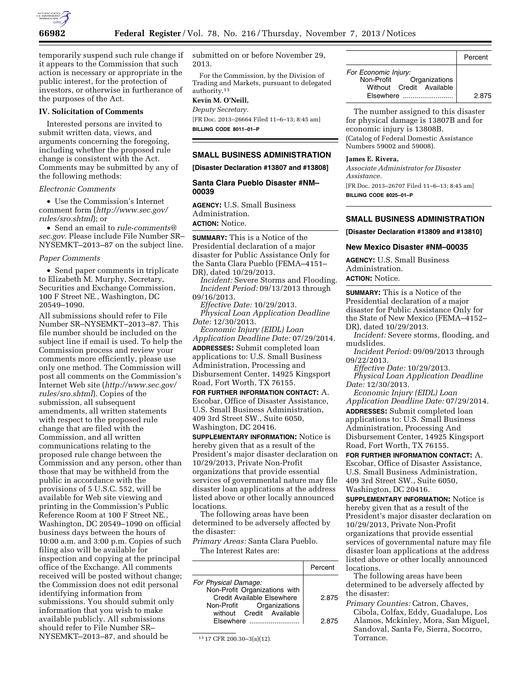

temporarily suspend such rule change if it appears to the Commission that such action is necessary or appropriate in the public interest, for the protection of investors, or otherwise in furtherance of the purposes of the Act.

#### **IV. Solicitation of Comments**

Interested persons are invited to submit written data, views, and arguments concerning the foregoing, including whether the proposed rule change is consistent with the Act. Comments may be submitted by any of the following methods:

#### *Electronic Comments*

• Use the Commission's Internet comment form (*[http://www.sec.gov/](http://www.sec.gov/rules/sro.shtml) [rules/sro.shtml](http://www.sec.gov/rules/sro.shtml)*); or

• Send an email to *[rule-comments@](mailto:rule-comments@sec.gov) [sec.gov.](mailto:rule-comments@sec.gov)* Please include File Number SR– NYSEMKT–2013–87 on the subject line.

#### *Paper Comments*

• Send paper comments in triplicate to Elizabeth M. Murphy, Secretary, Securities and Exchange Commission, 100 F Street NE., Washington, DC 20549–1090.

All submissions should refer to File Number SR–NYSEMKT–2013–87. This file number should be included on the subject line if email is used. To help the Commission process and review your comments more efficiently, please use only one method. The Commission will post all comments on the Commission's Internet Web site (*[http://www.sec.gov/](http://www.sec.gov/rules/sro.shtml) [rules/sro.shtml](http://www.sec.gov/rules/sro.shtml)*). Copies of the submission, all subsequent amendments, all written statements with respect to the proposed rule change that are filed with the Commission, and all written communications relating to the proposed rule change between the Commission and any person, other than those that may be withheld from the public in accordance with the provisions of 5 U.S.C. 552, will be available for Web site viewing and printing in the Commission's Public Reference Room at 100 F Street NE., Washington, DC 20549–1090 on official business days between the hours of 10:00 a.m. and 3:00 p.m. Copies of such filing also will be available for inspection and copying at the principal office of the Exchange. All comments received will be posted without change; the Commission does not edit personal identifying information from submissions. You should submit only information that you wish to make available publicly. All submissions should refer to File Number SR– NYSEMKT–2013–87, and should be

submitted on or before November 29, 2013.

For the Commission, by the Division of Trading and Markets, pursuant to delegated authority.13

# **Kevin M. O'Neill,**

*Deputy Secretary.*  [FR Doc. 2013–26664 Filed 11–6–13; 8:45 am] **BILLING CODE 8011–01–P** 

# **SMALL BUSINESS ADMINISTRATION**

**[Disaster Declaration #13807 and #13808]** 

### **Santa Clara Pueblo Disaster #NM– 00039**

**AGENCY:** U.S. Small Business Administration. **ACTION:** Notice.

**SUMMARY:** This is a Notice of the Presidential declaration of a major disaster for Public Assistance Only for the Santa Clara Pueblo (FEMA–4151– DR), dated 10/29/2013.

*Incident:* Severe Storms and Flooding. *Incident Period:* 09/13/2013 through 09/16/2013.

*Effective Date:* 10/29/2013. *Physical Loan Application Deadline Date:* 12/30/2013.

*Economic Injury (EIDL) Loan Application Deadline Date:* 07/29/2014. **ADDRESSES:** Submit completed loan applications to: U.S. Small Business Administration, Processing and Disbursement Center, 14925 Kingsport Road, Fort Worth, TX 76155.

**FOR FURTHER INFORMATION CONTACT:** A. Escobar, Office of Disaster Assistance, U.S. Small Business Administration, 409 3rd Street SW., Suite 6050, Washington, DC 20416.

**SUPPLEMENTARY INFORMATION:** Notice is hereby given that as a result of the President's major disaster declaration on 10/29/2013, Private Non-Profit organizations that provide essential services of governmental nature may file disaster loan applications at the address listed above or other locally announced locations.

The following areas have been determined to be adversely affected by the disaster:

*Primary Areas:* Santa Clara Pueblo.

The Interest Rates are:

|                                                             | Percent |
|-------------------------------------------------------------|---------|
| For Physical Damage:                                        |         |
| Non-Profit Organizations with<br>Credit Available Elsewhere | 2.875   |
| Non-Profit Organizations<br>without Credit Available        |         |
| $F$ sewhere $\ldots$                                        | 2.875   |

13 17 CFR 200.30–3(a)(12).

|                                                                                           | Percent |
|-------------------------------------------------------------------------------------------|---------|
| For Economic Injury:<br>Non-Profit Organizations<br>Without Credit Available<br>Fisewhere | 2.875   |

The number assigned to this disaster for physical damage is 13807B and for economic injury is 13808B. (Catalog of Federal Domestic Assistance

**James E. Rivera,** 

*Associate Administrator for Disaster Assistance.* 

Numbers 59002 and 59008).

[FR Doc. 2013–26707 Filed 11–6–13; 8:45 am] **BILLING CODE 8025–01–P** 

## **SMALL BUSINESS ADMINISTRATION**

**[Disaster Declaration #13809 and #13810]** 

### **New Mexico Disaster #NM–00035**

**AGENCY:** U.S. Small Business Administration. **ACTION:** Notice.

**SUMMARY:** This is a Notice of the Presidential declaration of a major disaster for Public Assistance Only for the State of New Mexico (FEMA–4152– DR), dated 10/29/2013.

*Incident:* Severe storms, flooding, and mudslides.

*Incident Period:* 09/09/2013 through 09/22/2013.

*Effective Date:* 10/29/2013.

*Physical Loan Application Deadline Date:* 12/30/2013.

*Economic Injury (EIDL) Loan Application Deadline Date:* 07/29/2014. **ADDRESSES:** Submit completed loan applications to: U.S. Small Business Administration, Processing And Disbursement Center, 14925 Kingsport

Road, Fort Worth, TX 76155. **FOR FURTHER INFORMATION CONTACT:** A.

Escobar, Office of Disaster Assistance, U.S. Small Business Administration, 409 3rd Street SW., Suite 6050, Washington, DC 20416.

**SUPPLEMENTARY INFORMATION:** Notice is hereby given that as a result of the President's major disaster declaration on 10/29/2013, Private Non-Profit organizations that provide essential services of governmental nature may file disaster loan applications at the address listed above or other locally announced locations.

The following areas have been determined to be adversely affected by the disaster:

*Primary Counties:* Catron, Chaves, Cibola, Colfax, Eddy, Guadalupe, Los Alamos, Mckinley, Mora, San Miguel,

Sandoval, Santa Fe, Sierra, Socorro, Torrance.